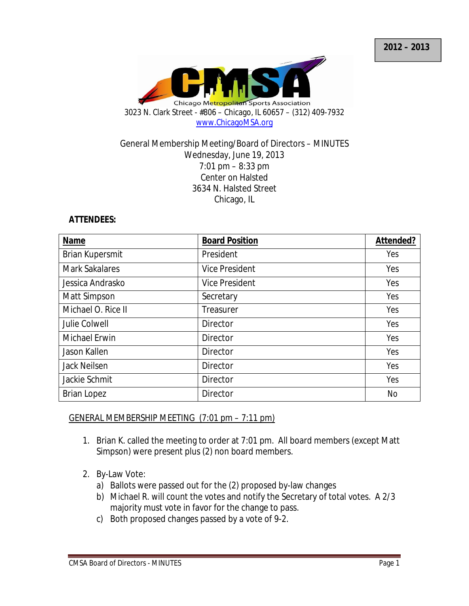

#### General Membership Meeting/Board of Directors – MINUTES Wednesday, June 19, 2013 7:01 pm – 8:33 pm Center on Halsted 3634 N. Halsted Street Chicago, IL

#### **ATTENDEES:**

| Name                   | <b>Board Position</b> | Attended? |
|------------------------|-----------------------|-----------|
| <b>Brian Kupersmit</b> | President             | Yes       |
| <b>Mark Sakalares</b>  | <b>Vice President</b> | Yes       |
| Jessica Andrasko       | <b>Vice President</b> | Yes       |
| Matt Simpson           | Secretary             | Yes       |
| Michael O. Rice II     | Treasurer             | Yes       |
| Julie Colwell          | Director              | Yes       |
| <b>Michael Erwin</b>   | Director              | Yes       |
| Jason Kallen           | <b>Director</b>       | Yes       |
| <b>Jack Neilsen</b>    | Director              | Yes       |
| Jackie Schmit          | Director              | Yes       |
| <b>Brian Lopez</b>     | Director              | <b>No</b> |

### GENERAL MEMBERSHIP MEETING (7:01 pm – 7:11 pm)

- 1. Brian K. called the meeting to order at 7:01 pm. All board members (except Matt Simpson) were present plus (2) non board members.
- 2. By-Law Vote:
	- a) Ballots were passed out for the (2) proposed by-law changes
	- b) Michael R. will count the votes and notify the Secretary of total votes. A 2/3 majority must vote in favor for the change to pass.
	- c) Both proposed changes passed by a vote of 9-2.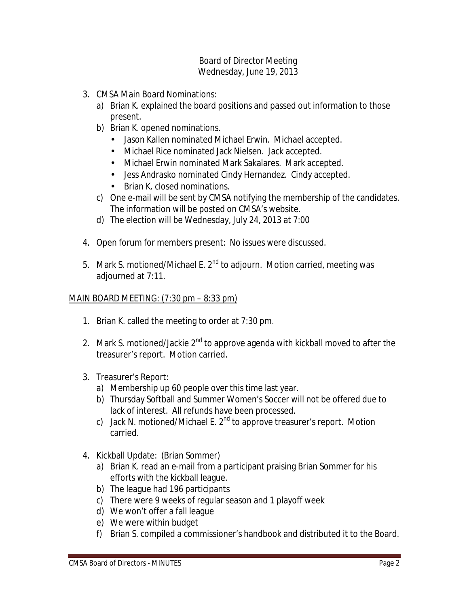- 3. CMSA Main Board Nominations:
	- a) Brian K. explained the board positions and passed out information to those present.
	- b) Brian K. opened nominations.
		- Jason Kallen nominated Michael Erwin. Michael accepted.
		- Michael Rice nominated Jack Nielsen. Jack accepted.
		- Michael Erwin nominated Mark Sakalares. Mark accepted.
		- Jess Andrasko nominated Cindy Hernandez. Cindy accepted.
		- Brian K. closed nominations.
	- c) One e-mail will be sent by CMSA notifying the membership of the candidates. The information will be posted on CMSA's website.
	- d) The election will be Wednesday, July 24, 2013 at 7:00
- 4. Open forum for members present: No issues were discussed.
- 5. Mark S. motioned/Michael E. 2<sup>nd</sup> to adjourn. Motion carried, meeting was adjourned at 7:11.

# MAIN BOARD MEETING: (7:30 pm – 8:33 pm)

- 1. Brian K. called the meeting to order at 7:30 pm.
- 2. Mark S. motioned/Jackie  $2<sup>nd</sup>$  to approve agenda with kickball moved to after the treasurer's report. Motion carried.
- 3. Treasurer's Report:
	- a) Membership up 60 people over this time last year.
	- b) Thursday Softball and Summer Women's Soccer will not be offered due to lack of interest. All refunds have been processed.
	- c) Jack N. motioned/Michael E.  $2^{nd}$  to approve treasurer's report. Motion carried.
- 4. Kickball Update: (Brian Sommer)
	- a) Brian K. read an e-mail from a participant praising Brian Sommer for his efforts with the kickball league.
	- b) The league had 196 participants
	- c) There were 9 weeks of regular season and 1 playoff week
	- d) We won't offer a fall league
	- e) We were within budget
	- f) Brian S. compiled a commissioner's handbook and distributed it to the Board.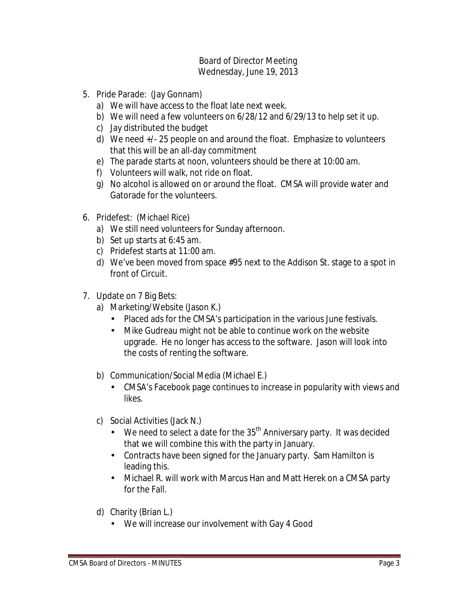- 5. Pride Parade: (Jay Gonnam)
	- a) We will have access to the float late next week.
	- b) We will need a few volunteers on 6/28/12 and 6/29/13 to help set it up.
	- c) Jay distributed the budget
	- d) We need +/- 25 people on and around the float. Emphasize to volunteers that this will be an all-day commitment
	- e) The parade starts at noon, volunteers should be there at 10:00 am.
	- f) Volunteers will walk, not ride on float.
	- g) No alcohol is allowed on or around the float. CMSA will provide water and Gatorade for the volunteers.
- 6. Pridefest: (Michael Rice)
	- a) We still need volunteers for Sunday afternoon.
	- b) Set up starts at 6:45 am.
	- c) Pridefest starts at 11:00 am.
	- d) We've been moved from space #95 next to the Addison St. stage to a spot in front of Circuit.
- 7. Update on 7 Big Bets:
	- a) Marketing/Website (Jason K.)
		- Placed ads for the CMSA's participation in the various June festivals.
		- Mike Gudreau might not be able to continue work on the website upgrade. He no longer has access to the software. Jason will look into the costs of renting the software.
	- b) Communication/Social Media (Michael E.)
		- CMSA's Facebook page continues to increase in popularity with views and likes.
	- c) Social Activities (Jack N.)
		- We need to select a date for the  $35<sup>th</sup>$  Anniversary party. It was decided that we will combine this with the party in January.
		- Contracts have been signed for the January party. Sam Hamilton is leading this.
		- Michael R. will work with Marcus Han and Matt Herek on a CMSA party for the Fall.
	- d) Charity (Brian L.)
		- We will increase our involvement with Gay 4 Good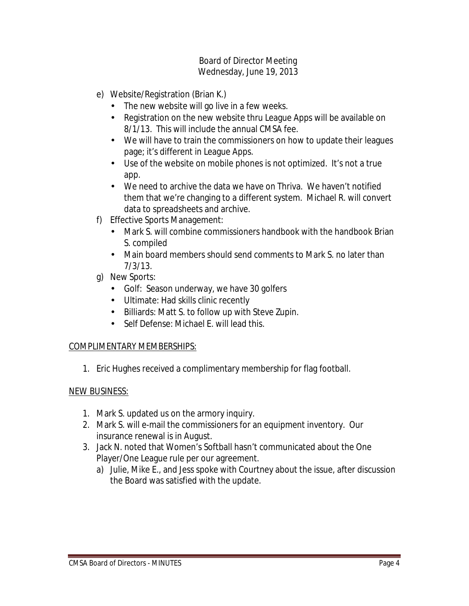- e) Website/Registration (Brian K.)
	- The new website will go live in a few weeks.
	- Registration on the new website thru League Apps will be available on 8/1/13. This will include the annual CMSA fee.
	- We will have to train the commissioners on how to update their leagues page; it's different in League Apps.
	- Use of the website on mobile phones is not optimized. It's not a true app.
	- We need to archive the data we have on Thriva. We haven't notified them that we're changing to a different system. Michael R. will convert data to spreadsheets and archive.
- f) Effective Sports Management:
	- Mark S. will combine commissioners handbook with the handbook Brian S. compiled
	- Main board members should send comments to Mark S, no later than 7/3/13.
- g) New Sports:
	- Golf: Season underway, we have 30 golfers
	- Ultimate: Had skills clinic recently
	- Billiards: Matt S. to follow up with Steve Zupin.
	- Self Defense: Michael F. will lead this.

### COMPLIMENTARY MEMBERSHIPS:

1. Eric Hughes received a complimentary membership for flag football.

### NEW BUSINESS:

- 1. Mark S. updated us on the armory inquiry.
- 2. Mark S. will e-mail the commissioners for an equipment inventory. Our insurance renewal is in August.
- 3. Jack N. noted that Women's Softball hasn't communicated about the One Player/One League rule per our agreement.
	- a) Julie, Mike E., and Jess spoke with Courtney about the issue, after discussion the Board was satisfied with the update.